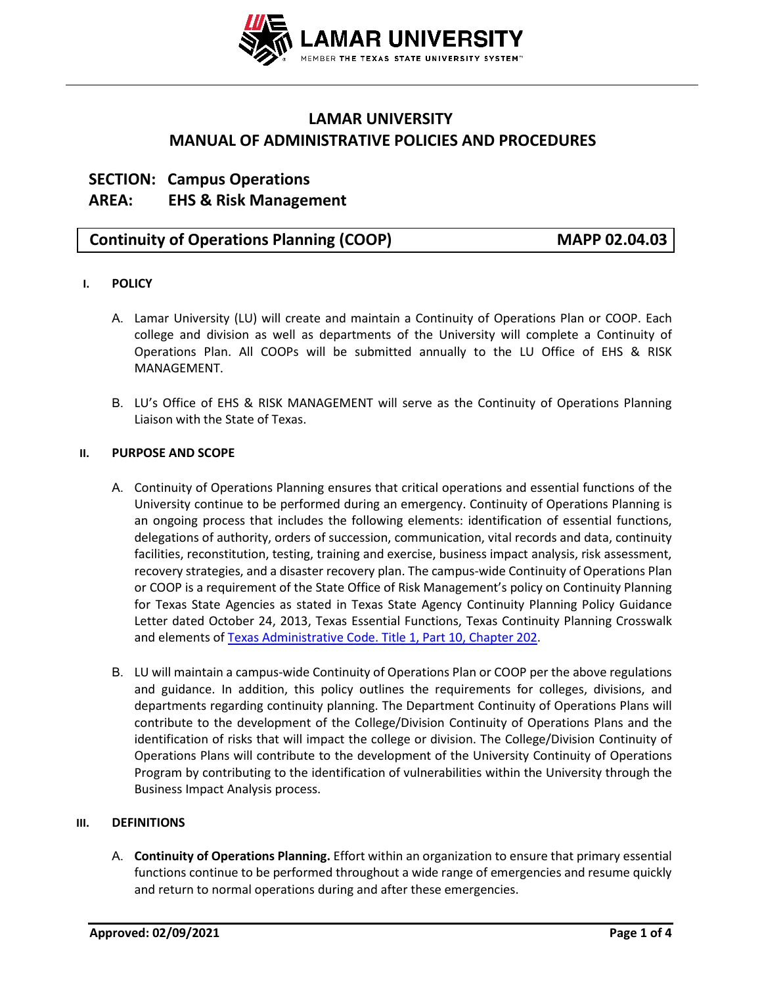

# **LAMAR UNIVERSITY MANUAL OF ADMINISTRATIVE POLICIES AND PROCEDURES**

# **SECTION: Campus Operations AREA: EHS & Risk Management**

# **Continuity of Operations Planning (COOP) MAPP 02.04.03**

## **I. POLICY**

- A. Lamar University (LU) will create and maintain a Continuity of Operations Plan or COOP. Each college and division as well as departments of the University will complete a Continuity of Operations Plan. All COOPs will be submitted annually to the LU Office of EHS & RISK MANAGEMENT.
- B. LU's Office of EHS & RISK MANAGEMENT will serve as the Continuity of Operations Planning Liaison with the State of Texas.

#### **II. PURPOSE AND SCOPE**

- A. Continuity of Operations Planning ensures that critical operations and essential functions of the University continue to be performed during an emergency. Continuity of Operations Planning is an ongoing process that includes the following elements: identification of essential functions, delegations of authority, orders of succession, communication, vital records and data, continuity facilities, reconstitution, testing, training and exercise, business impact analysis, risk assessment, recovery strategies, and a disaster recovery plan. The campus-wide Continuity of Operations Plan or COOP is a requirement of the State Office of Risk Management's policy on Continuity Planning for Texas State Agencies as stated in Texas State Agency Continuity Planning Policy Guidance Letter dated October 24, 2013, Texas Essential Functions, Texas Continuity Planning Crosswalk and elements of [Texas Administrative Code. Title 1, Part 10, Chapter 202.](http://texreg.sos.state.tx.us/public/readtac$ext.ViewTAC?tac_view=4&ti=1&pt=10&ch=202)
- B. LU will maintain a campus-wide Continuity of Operations Plan or COOP per the above regulations and guidance. In addition, this policy outlines the requirements for colleges, divisions, and departments regarding continuity planning. The Department Continuity of Operations Plans will contribute to the development of the College/Division Continuity of Operations Plans and the identification of risks that will impact the college or division. The College/Division Continuity of Operations Plans will contribute to the development of the University Continuity of Operations Program by contributing to the identification of vulnerabilities within the University through the Business Impact Analysis process.

### **III. DEFINITIONS**

A. **Continuity of Operations Planning.** Effort within an organization to ensure that primary essential functions continue to be performed throughout a wide range of emergencies and resume quickly and return to normal operations during and after these emergencies.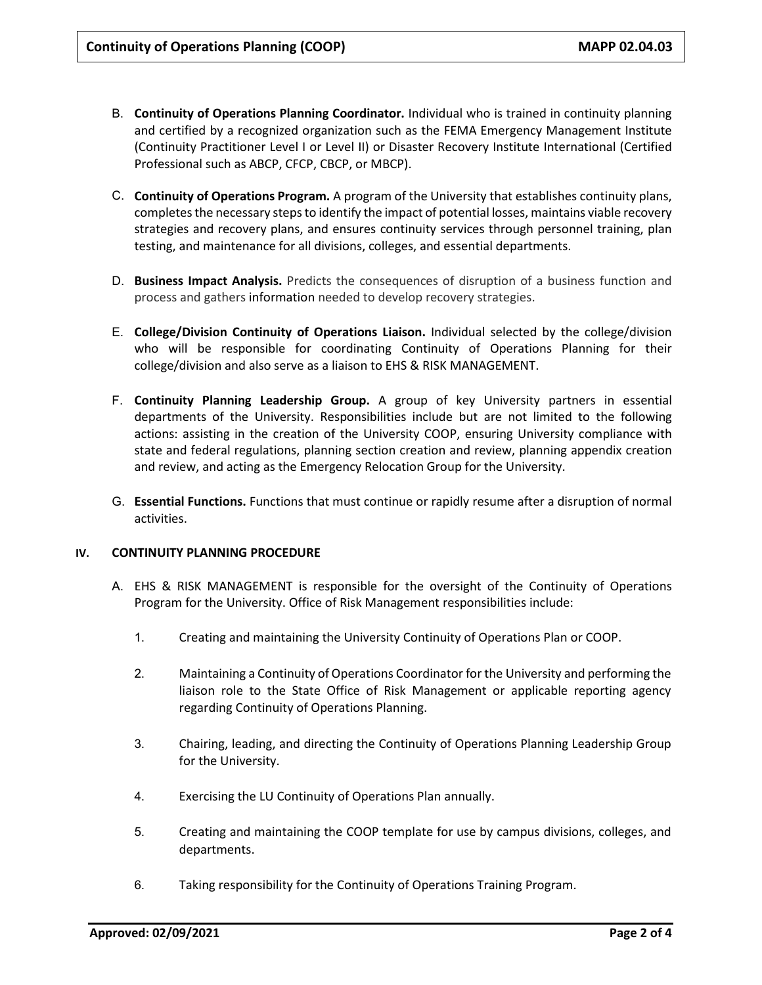- B. **Continuity of Operations Planning Coordinator.** Individual who is trained in continuity planning and certified by a recognized organization such as the FEMA Emergency Management Institute (Continuity Practitioner Level I or Level II) or Disaster Recovery Institute International (Certified Professional such as ABCP, CFCP, CBCP, or MBCP).
- C. **Continuity of Operations Program.** A program of the University that establishes continuity plans, completes the necessary steps to identify the impact of potential losses, maintains viable recovery strategies and recovery plans, and ensures continuity services through personnel training, plan testing, and maintenance for all divisions, colleges, and essential departments.
- D. **Business Impact Analysis.** Predicts the consequences of disruption of a business function and process and gathers information needed to develop recovery strategies.
- E. **College/Division Continuity of Operations Liaison.** Individual selected by the college/division who will be responsible for coordinating Continuity of Operations Planning for their college/division and also serve as a liaison to EHS & RISK MANAGEMENT.
- F. **Continuity Planning Leadership Group.** A group of key University partners in essential departments of the University. Responsibilities include but are not limited to the following actions: assisting in the creation of the University COOP, ensuring University compliance with state and federal regulations, planning section creation and review, planning appendix creation and review, and acting as the Emergency Relocation Group for the University.
- G. **Essential Functions.** Functions that must continue or rapidly resume after a disruption of normal activities.

### **IV. CONTINUITY PLANNING PROCEDURE**

- A. EHS & RISK MANAGEMENT is responsible for the oversight of the Continuity of Operations Program for the University. Office of Risk Management responsibilities include:
	- 1. Creating and maintaining the University Continuity of Operations Plan or COOP.
	- 2. Maintaining a Continuity of Operations Coordinator for the University and performing the liaison role to the State Office of Risk Management or applicable reporting agency regarding Continuity of Operations Planning.
	- 3. Chairing, leading, and directing the Continuity of Operations Planning Leadership Group for the University.
	- 4. Exercising the LU Continuity of Operations Plan annually.
	- 5. Creating and maintaining the COOP templat[e](http://www.uh.edu/emergency-management/planning-and-response/business-continuity-plans/) for use by campus divisions, colleges, and departments.
	- 6. Taking responsibility for the Continuity of Operations Training Program.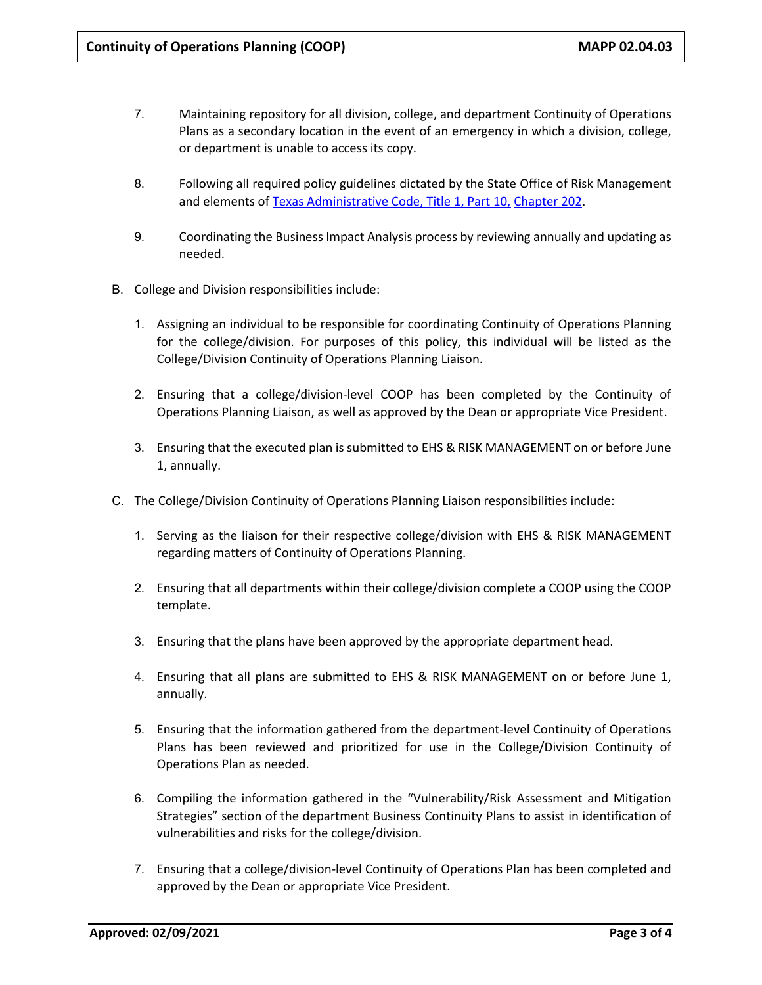- 7. Maintaining repository for all division, college, and department Continuity of Operations Plans as a secondary location in the event of an emergency in which a division, college, or department is unable to access its copy.
- 8. Following all required policy guidelines dictated by the State Office of Risk Management and elements of [Texas Administrative Code, Title 1, Part 10,](http://texreg.sos.state.tx.us/public/readtac$ext.ViewTAC?tac_view=4&ti=1&pt=10&ch=202) [Chapter 202.](http://texreg.sos.state.tx.us/public/readtac$ext.ViewTAC?tac_view=4&ti=1&pt=10&ch=202)
- 9. Coordinating the Business Impact Analysis process by reviewing annually and updating as needed.
- B. College and Division responsibilities include:
	- 1. Assigning an individual to be responsible for coordinating Continuity of Operations Planning for the college/division. For purposes of this policy, this individual will be listed as the College/Division Continuity of Operations Planning Liaison.
	- 2. Ensuring that a college/division-level COOP has been completed by the Continuity of Operations Planning Liaison, as well as approved by the Dean or appropriate Vice President.
	- 3. Ensuring that the executed plan is submitted to EHS & RISK MANAGEMENT on or before June 1, annually.
- C. The College/Division Continuity of Operations Planning Liaison responsibilities include:
	- 1. Serving as the liaison for their respective college/division with EHS & RISK MANAGEMENT regarding matters of Continuity of Operations Planning.
	- 2. Ensuring that all departments within their college/division complete a COOP using the COOP template.
	- 3. Ensuring that the plans have been approved by the appropriate department head.
	- 4. Ensuring that all plans are submitted to EHS & RISK MANAGEMENT on or before June 1, annually.
	- 5. Ensuring that the information gathered from the department-level Continuity of Operations Plans has been reviewed and prioritized for use in the College/Division Continuity of Operations Plan as needed.
	- 6. Compiling the information gathered in the "Vulnerability/Risk Assessment and Mitigation Strategies" section of the department Business Continuity Plans to assist in identification of vulnerabilities and risks for the college/division.
	- 7. Ensuring that a college/division-level Continuity of Operations Plan has been completed and approved by the Dean or appropriate Vice President.